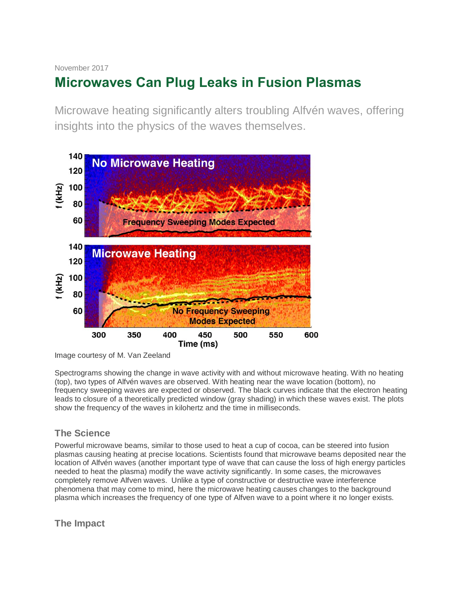# November 2017

# **Microwaves Can Plug Leaks in Fusion Plasmas**

Microwave heating significantly alters troubling Alfvén waves, offering insights into the physics of the waves themselves.



Image courtesy of M. Van Zeeland

Spectrograms showing the change in wave activity with and without microwave heating. With no heating (top), two types of Alfvén waves are observed. With heating near the wave location (bottom), no frequency sweeping waves are expected or observed. The black curves indicate that the electron heating leads to closure of a theoretically predicted window (gray shading) in which these waves exist. The plots show the frequency of the waves in kilohertz and the time in milliseconds.

## **The Science**

Powerful microwave beams, similar to those used to heat a cup of cocoa, can be steered into fusion plasmas causing heating at precise locations. Scientists found that microwave beams deposited near the location of Alfvén waves (another important type of wave that can cause the loss of high energy particles needed to heat the plasma) modify the wave activity significantly. In some cases, the microwaves completely remove Alfven waves. Unlike a type of constructive or destructive wave interference phenomena that may come to mind, here the microwave heating causes changes to the background plasma which increases the frequency of one type of Alfven wave to a point where it no longer exists.

**The Impact**